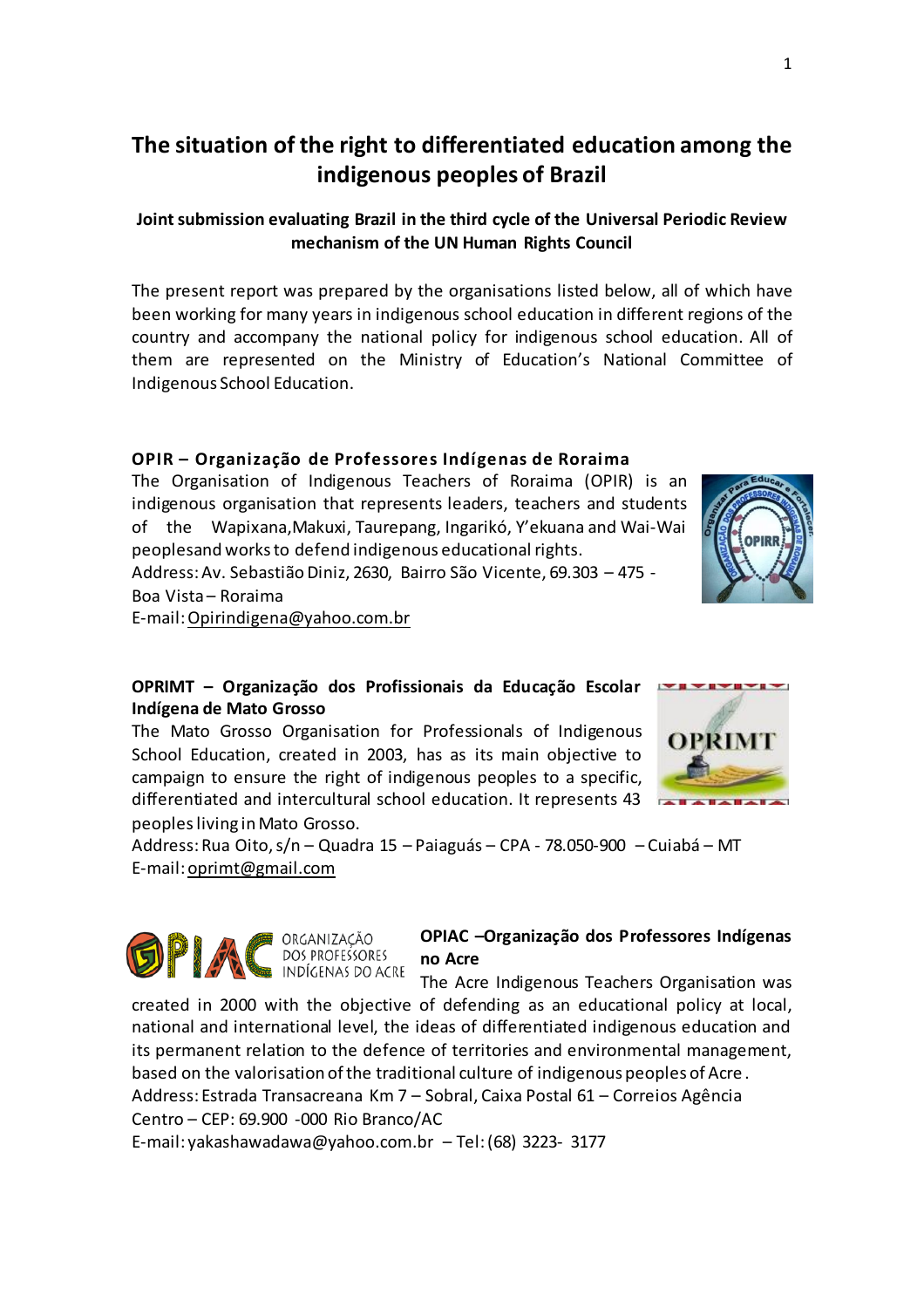# **The situation of the right to differentiated education among the indigenous peoples of Brazil**

## **Jointsubmission evaluating Brazil in the third cycle of the Universal Periodic Review mechanism of the UN Human Rights Council**

The present report was prepared by the organisations listed below, all of which have been working for many years in indigenous school education in different regions of the country and accompany the national policy for indigenous school education. All of them are represented on the Ministry of Education's National Committee of Indigenous School Education.

### **OPIR – Organização de Professores Indígenas de Roraima**

The Organisation of Indigenous Teachers of Roraima (OPIR) is an indigenous organisation that represents leaders, teachers and students of the Wapixana,Makuxi, Taurepang, Ingarikó, Y'ekuana and Wai-Wai peoplesand worksto defend indigenous educational rights. Address: Av. Sebastião Diniz, 2630, Bairro São Vicente, 69.303 - 475 -

Boa Vista– Roraima

E-mail:Opirindigena@yahoo.com.br

### **OPRIMT – Organização dos Profissionais da Educação Escolar Indígena de Mato Grosso**

The Mato Grosso Organisation for Professionals of Indigenous School Education, created in 2003, has as its main objective to campaign to ensure the right of indigenous peoples to a specific, differentiated and intercultural school education. It represents 43 peoplesliving in Mato Grosso.

Address:Rua Oito,s/n – Quadra 15 – Paiaguás – CPA - 78.050-900 – Cuiabá – MT E-mail: oprimt@gmail.com



#### **OPIAC –Organização dos Professores Indígenas no Acre**

The Acre Indigenous Teachers Organisation was

created in 2000 with the objective of defending as an educational policy at local, national and international level, the ideas of differentiated indigenous education and its permanent relation to the defence of territories and environmental management, based on the valorisation of the traditional culture of indigenous peoples of Acre .

Address: Estrada Transacreana Km 7 – Sobral, Caixa Postal 61 – Correios Agência Centro – CEP: 69.900 -000 Rio Branco/AC

E-mail: yakashawadawa@yahoo.com.br – Tel:(68) 3223- 3177



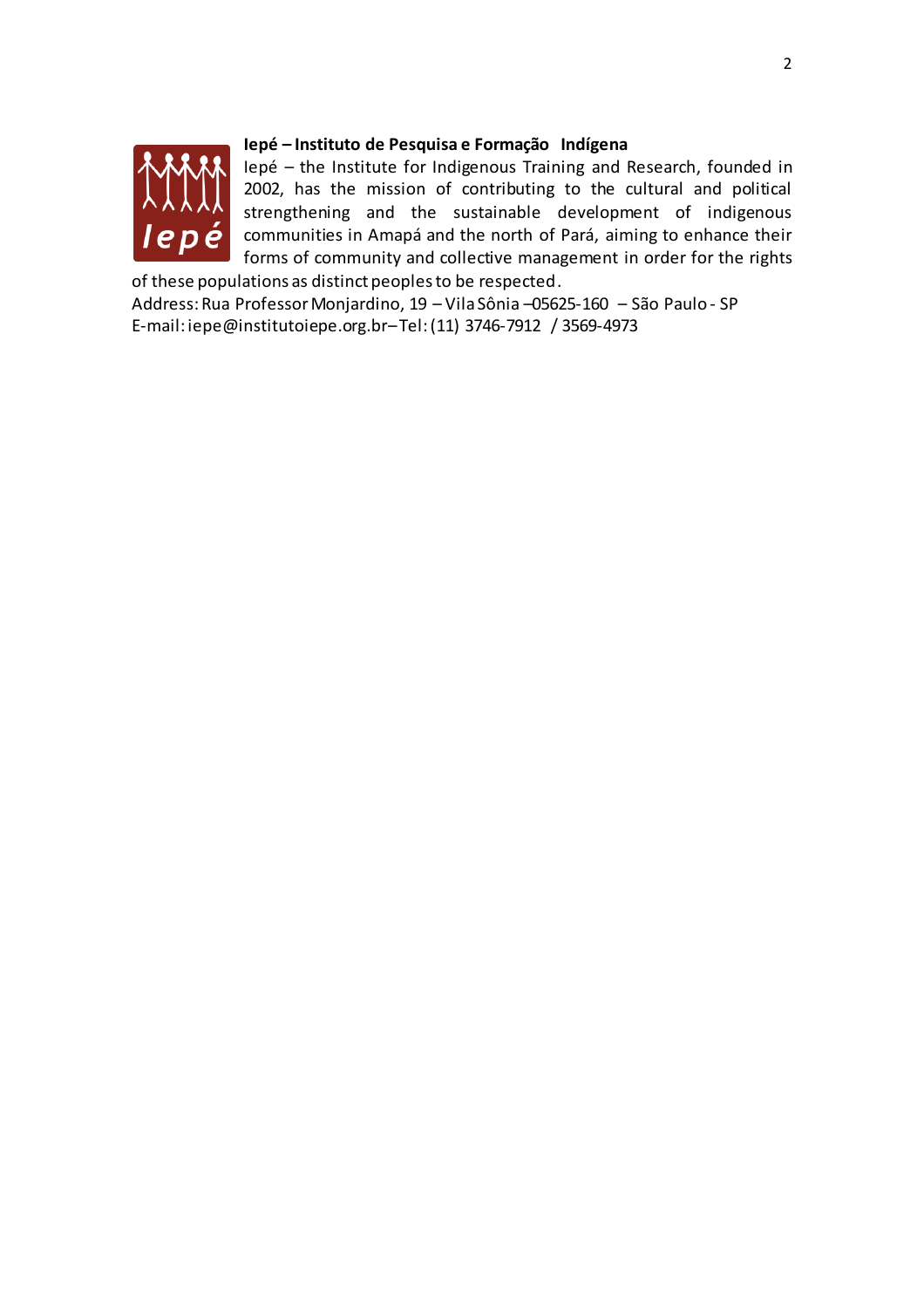

### **Iepé – Instituto de Pesquisa e Formação Indígena**

Iepé – the Institute for Indigenous Training and Research, founded in 2002, has the mission of contributing to the cultural and political strengthening and the sustainable development of indigenous communities in Amapá and the north of Pará, aiming to enhance their forms of community and collective management in order for the rights

of these populations as distinct peoples to be respected. Address:Rua ProfessorMonjardino, 19 – Vila Sônia –05625-160 – São Paulo - SP E-mail: iepe@institutoiepe.org.br–Tel:(11) 3746-7912 / 3569-4973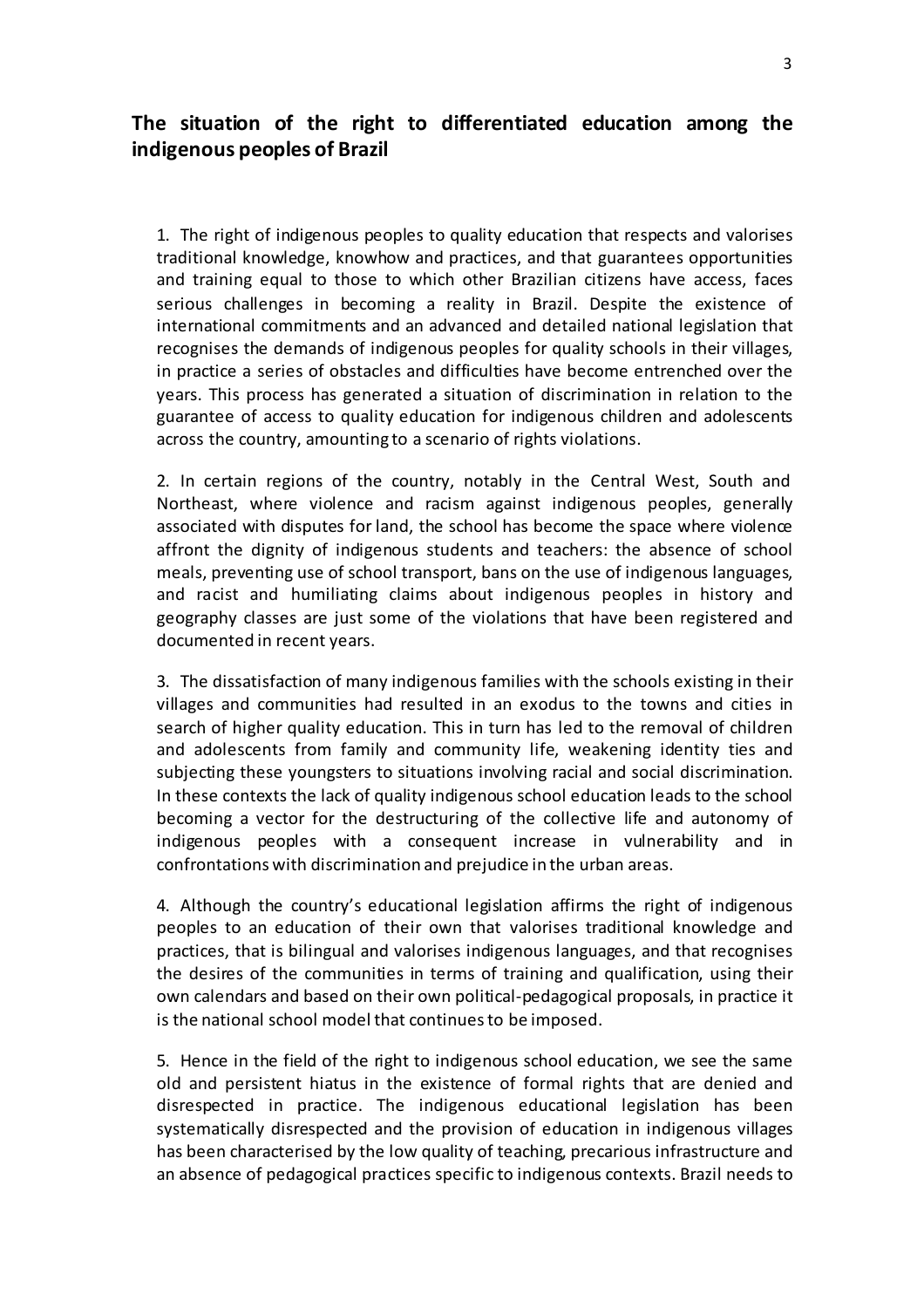# **The situation of the right to differentiated education among the indigenous peoples of Brazil**

1. The right of indigenous peoples to quality education that respects and valorises traditional knowledge, knowhow and practices, and that guarantees opportunities and training equal to those to which other Brazilian citizens have access, faces serious challenges in becoming a reality in Brazil. Despite the existence of international commitments and an advanced and detailed national legislation that recognises the demands of indigenous peoples for quality schools in their villages, in practice a series of obstacles and difficulties have become entrenched over the years. This process has generated a situation of discrimination in relation to the guarantee of access to quality education for indigenous children and adolescents across the country, amounting to a scenario of rights violations.

2. In certain regions of the country, notably in the Central West, South and Northeast, where violence and racism against indigenous peoples, generally associated with disputes for land, the school has become the space where violence affront the dignity of indigenous students and teachers: the absence of school meals, preventing use of school transport, bans on the use of indigenous languages, and racist and humiliating claims about indigenous peoples in history and geography classes are just some of the violations that have been registered and documented in recent years.

3. The dissatisfaction of many indigenous families with the schools existing in their villages and communities had resulted in an exodus to the towns and cities in search of higher quality education. This in turn has led to the removal of children and adolescents from family and community life, weakening identity ties and subjecting these youngsters to situations involving racial and social discrimination. In these contexts the lack of quality indigenous school education leads to the school becoming a vector for the destructuring of the collective life and autonomy of indigenous peoples with a consequent increase in vulnerability and in confrontations with discrimination and prejudice in the urban areas.

4. Although the country's educational legislation affirms the right of indigenous peoples to an education of their own that valorises traditional knowledge and practices, that is bilingual and valorises indigenous languages, and that recognises the desires of the communities in terms of training and qualification, using their own calendars and based on their own political-pedagogical proposals, in practice it is the national school model that continuesto be imposed.

5. Hence in the field of the right to indigenous school education, we see the same old and persistent hiatus in the existence of formal rights that are denied and disrespected in practice. The indigenous educational legislation has been systematically disrespected and the provision of education in indigenous villages has been characterised by the low quality of teaching, precarious infrastructure and an absence of pedagogical practices specific to indigenous contexts. Brazil needs to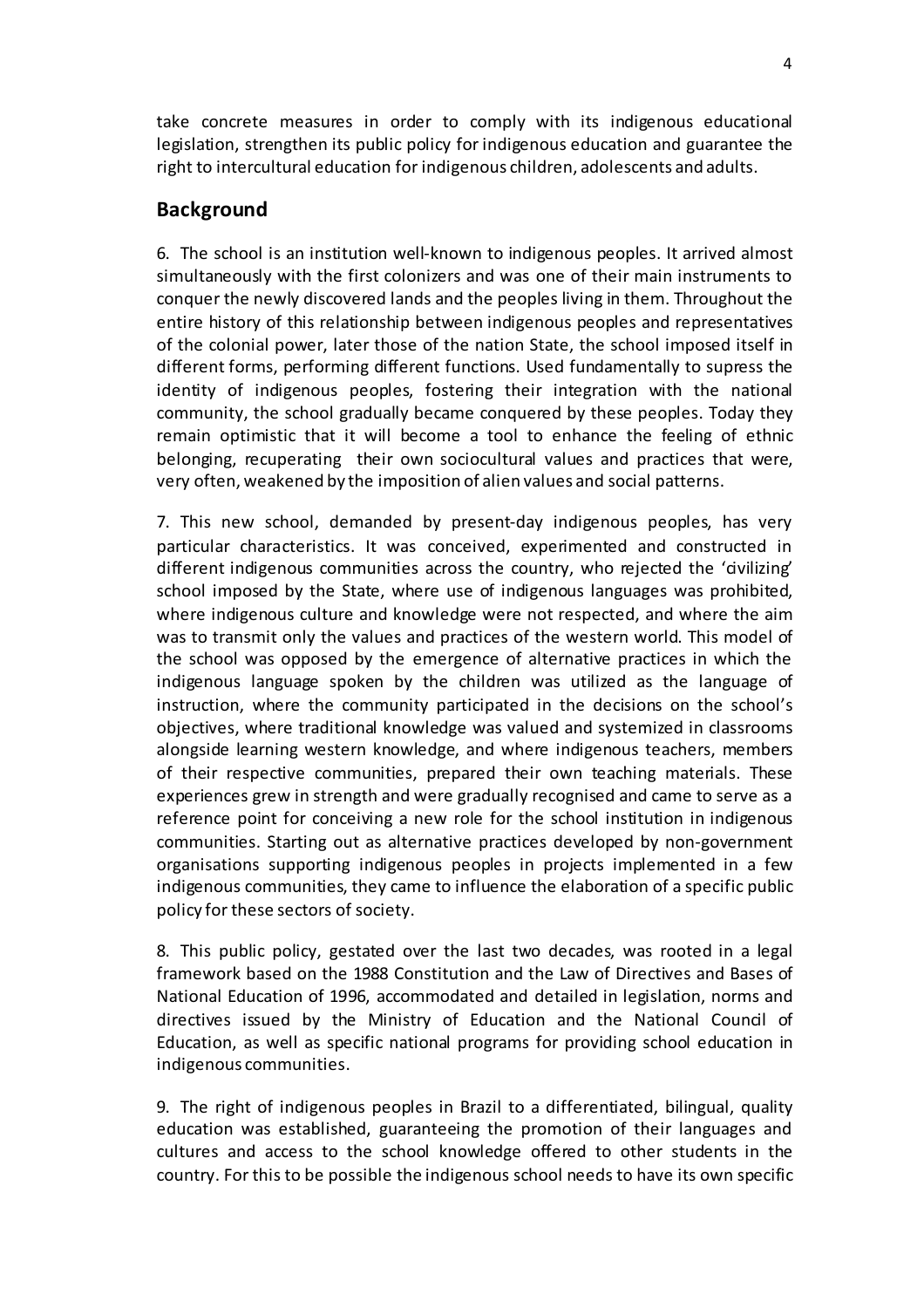take concrete measures in order to comply with its indigenous educational legislation, strengthen its public policy for indigenous education and guarantee the right to intercultural education for indigenous children, adolescents and adults.

# **Background**

6. The school is an institution well-known to indigenous peoples. It arrived almost simultaneously with the first colonizers and was one of their main instruments to conquer the newly discovered lands and the peoples living in them. Throughout the entire history of this relationship between indigenous peoples and representatives of the colonial power, later those of the nation State, the school imposed itself in different forms, performing different functions. Used fundamentally to supress the identity of indigenous peoples, fostering their integration with the national community, the school gradually became conquered by these peoples. Today they remain optimistic that it will become a tool to enhance the feeling of ethnic belonging, recuperating their own sociocultural values and practices that were, very often, weakened by the imposition of alien values and social patterns.

7. This new school, demanded by present-day indigenous peoples, has very particular characteristics. It was conceived, experimented and constructed in different indigenous communities across the country, who rejected the 'civilizing' school imposed by the State, where use of indigenous languages was prohibited, where indigenous culture and knowledge were not respected, and where the aim was to transmit only the values and practices of the western world. This model of the school was opposed by the emergence of alternative practices in which the indigenous language spoken by the children was utilized as the language of instruction, where the community participated in the decisions on the school's objectives, where traditional knowledge was valued and systemized in classrooms alongside learning western knowledge, and where indigenous teachers, members of their respective communities, prepared their own teaching materials. These experiences grew in strength and were gradually recognised and came to serve as a reference point for conceiving a new role for the school institution in indigenous communities. Starting out as alternative practices developed by non-government organisations supporting indigenous peoples in projects implemented in a few indigenous communities, they came to influence the elaboration of a specific public policy for these sectors of society.

8. This public policy, gestated over the last two decades, was rooted in a legal framework based on the 1988 Constitution and the Law of Directives and Bases of National Education of 1996, accommodated and detailed in legislation, norms and directives issued by the Ministry of Education and the National Council of Education, as well as specific national programs for providing school education in indigenous communities.

9. The right of indigenous peoples in Brazil to a differentiated, bilingual, quality education was established, guaranteeing the promotion of their languages and cultures and access to the school knowledge offered to other students in the country. For this to be possible the indigenous school needs to have its own specific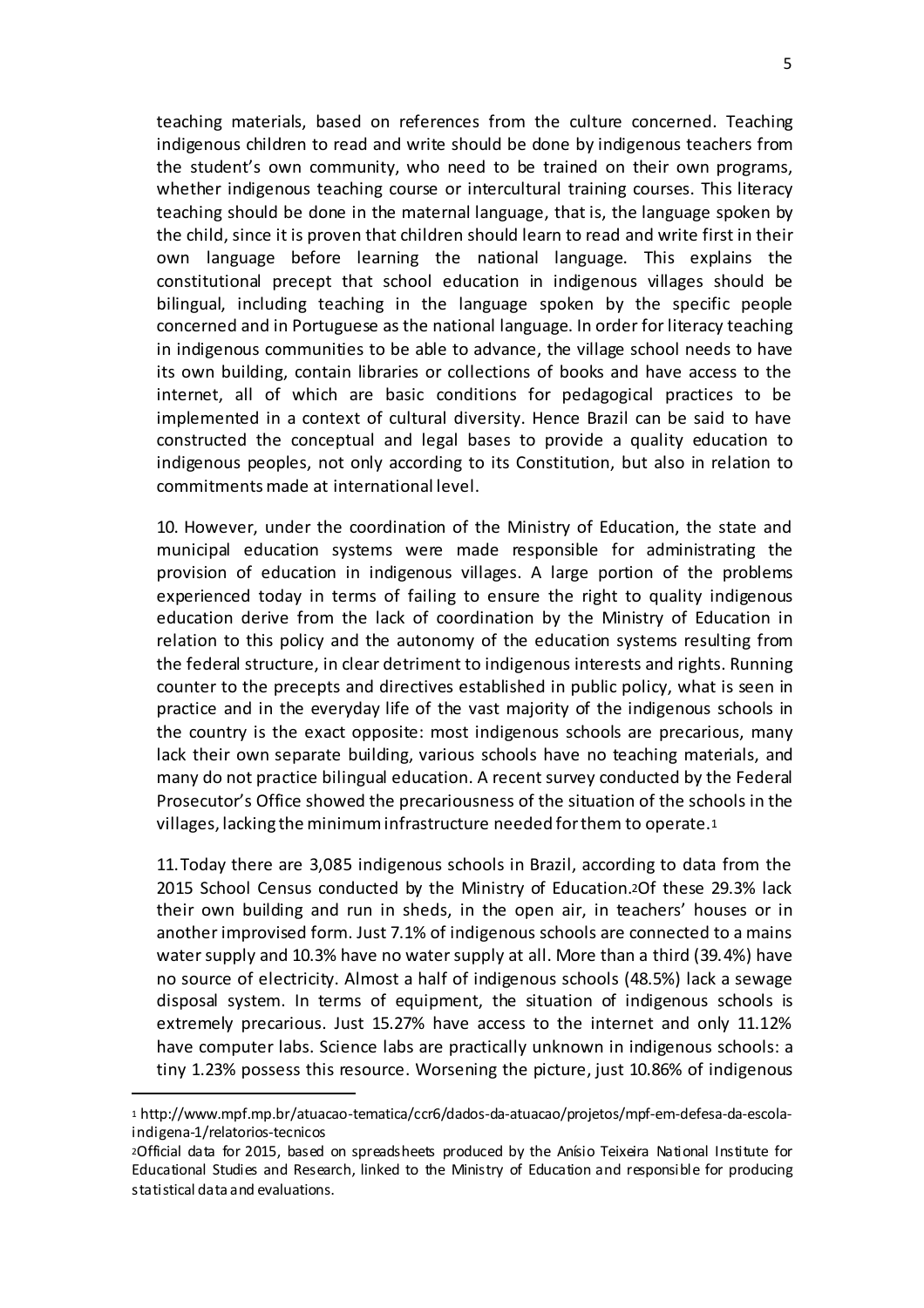teaching materials, based on references from the culture concerned. Teaching indigenous children to read and write should be done by indigenous teachers from the student's own community, who need to be trained on their own programs, whether indigenous teaching course or intercultural training courses. This literacy teaching should be done in the maternal language, that is, the language spoken by the child, since it is proven that children should learn to read and write first in their own language before learning the national language. This explains the constitutional precept that school education in indigenous villages should be bilingual, including teaching in the language spoken by the specific people concerned and in Portuguese as the national language. In order for literacy teaching in indigenous communities to be able to advance, the village school needs to have its own building, contain libraries or collections of books and have access to the internet, all of which are basic conditions for pedagogical practices to be implemented in a context of cultural diversity. Hence Brazil can be said to have constructed the conceptual and legal bases to provide a quality education to indigenous peoples, not only according to its Constitution, but also in relation to commitmentsmade at international level.

10. However, under the coordination of the Ministry of Education, the state and municipal education systems were made responsible for administrating the provision of education in indigenous villages. A large portion of the problems experienced today in terms of failing to ensure the right to quality indigenous education derive from the lack of coordination by the Ministry of Education in relation to this policy and the autonomy of the education systems resulting from the federal structure, in clear detriment to indigenous interests and rights. Running counter to the precepts and directives established in public policy, what is seen in practice and in the everyday life of the vast majority of the indigenous schools in the country is the exact opposite: most indigenous schools are precarious, many lack their own separate building, various schools have no teaching materials, and many do not practice bilingual education. A recent survey conducted by the Federal Prosecutor's Office showed the precariousness of the situation of the schools in the villages, lacking the minimuminfrastructure needed forthem to operate.<sup>1</sup>

11.Today there are 3,085 indigenous schools in Brazil, according to data from the 2015 School Census conducted by the Ministry of Education.2Of these 29.3% lack their own building and run in sheds, in the open air, in teachers' houses or in another improvised form. Just 7.1% of indigenous schools are connected to a mains water supply and 10.3% have no water supply at all. More than a third (39.4%) have no source of electricity. Almost a half of indigenous schools (48.5%) lack a sewage disposal system. In terms of equipment, the situation of indigenous schools is extremely precarious. Just 15.27% have access to the internet and only 11.12% have computer labs. Science labs are practically unknown in indigenous schools: a tiny 1.23% possess this resource. Worsening the picture, just 10.86% of indigenous

l

<sup>1</sup> http://www.mpf.mp.br/atuacao-tematica/ccr6/dados-da-atuacao/projetos/mpf-em-defesa-da-escolaindigena-1/relatorios-tecnicos

<sup>2</sup>Official data for 2015, based on spreadsheets produced by the Anísio Teixeira National Institute for Educational Studies and Research, linked to the Ministry of Education and responsible for producing statistical data and evaluations.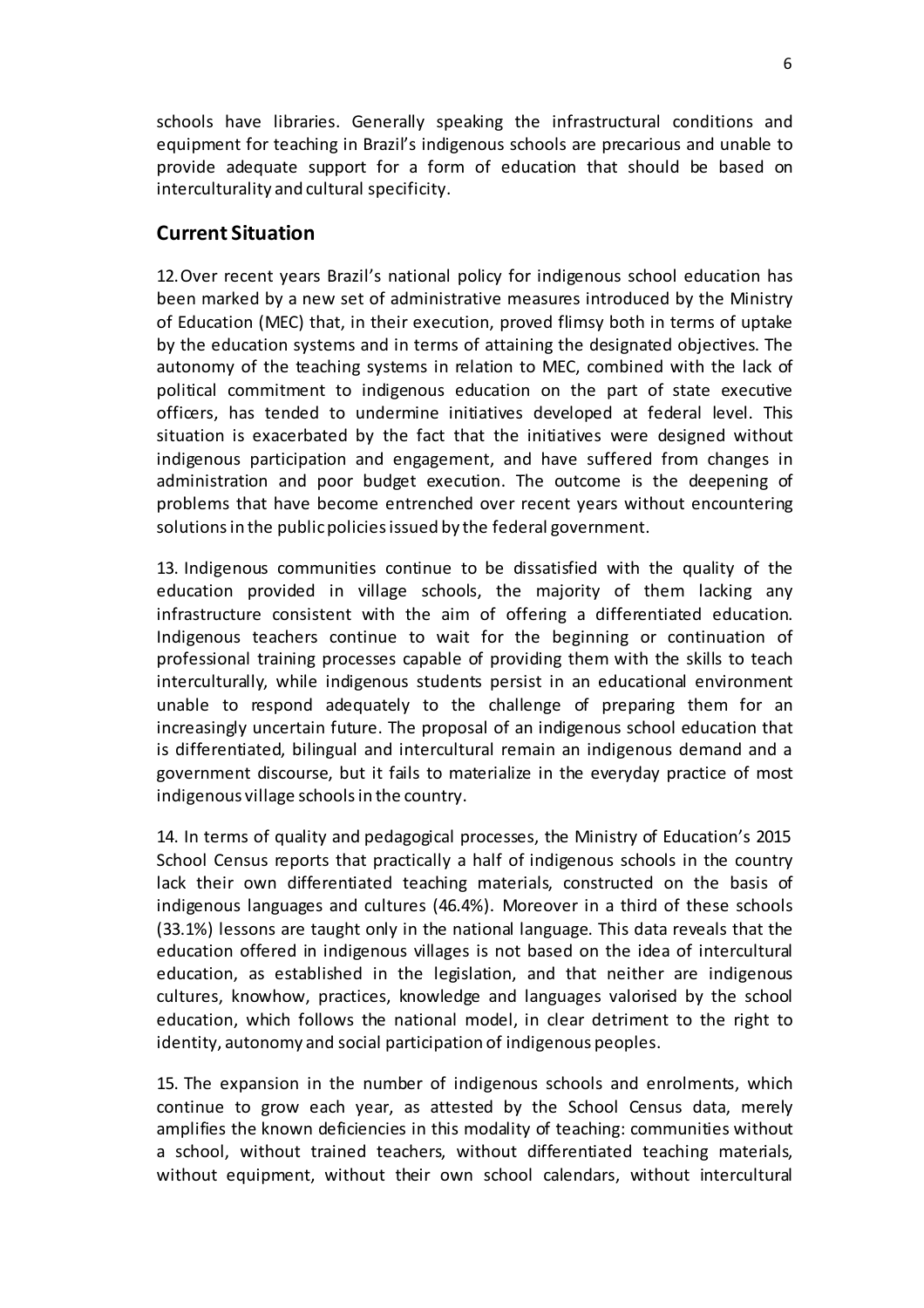schools have libraries. Generally speaking the infrastructural conditions and equipment for teaching in Brazil's indigenous schools are precarious and unable to provide adequate support for a form of education that should be based on interculturality and cultural specificity.

## **Current Situation**

12.Over recent years Brazil's national policy for indigenous school education has been marked by a new set of administrative measures introduced by the Ministry of Education (MEC) that, in their execution, proved flimsy both in terms of uptake by the education systems and in terms of attaining the designated objectives. The autonomy of the teaching systems in relation to MEC, combined with the lack of political commitment to indigenous education on the part of state executive officers, has tended to undermine initiatives developed at federal level. This situation is exacerbated by the fact that the initiatives were designed without indigenous participation and engagement, and have suffered from changes in administration and poor budget execution. The outcome is the deepening of problems that have become entrenched over recent years without encountering solutions in the public policies issued by the federal government.

13. Indigenous communities continue to be dissatisfied with the quality of the education provided in village schools, the majority of them lacking any infrastructure consistent with the aim of offering a differentiated education. Indigenous teachers continue to wait for the beginning or continuation of professional training processes capable of providing them with the skills to teach interculturally, while indigenous students persist in an educational environment unable to respond adequately to the challenge of preparing them for an increasingly uncertain future. The proposal of an indigenous school education that is differentiated, bilingual and intercultural remain an indigenous demand and a government discourse, but it fails to materialize in the everyday practice of most indigenous village schoolsin the country.

14. In terms of quality and pedagogical processes, the Ministry of Education's 2015 School Census reports that practically a half of indigenous schools in the country lack their own differentiated teaching materials, constructed on the basis of indigenous languages and cultures (46.4%). Moreover in a third of these schools (33.1%) lessons are taught only in the national language. This data reveals that the education offered in indigenous villages is not based on the idea of intercultural education, as established in the legislation, and that neither are indigenous cultures, knowhow, practices, knowledge and languages valorised by the school education, which follows the national model, in clear detriment to the right to identity, autonomy and social participation of indigenous peoples.

15. The expansion in the number of indigenous schools and enrolments, which continue to grow each year, as attested by the School Census data, merely amplifies the known deficiencies in this modality of teaching: communities without a school, without trained teachers, without differentiated teaching materials, without equipment, without their own school calendars, without intercultural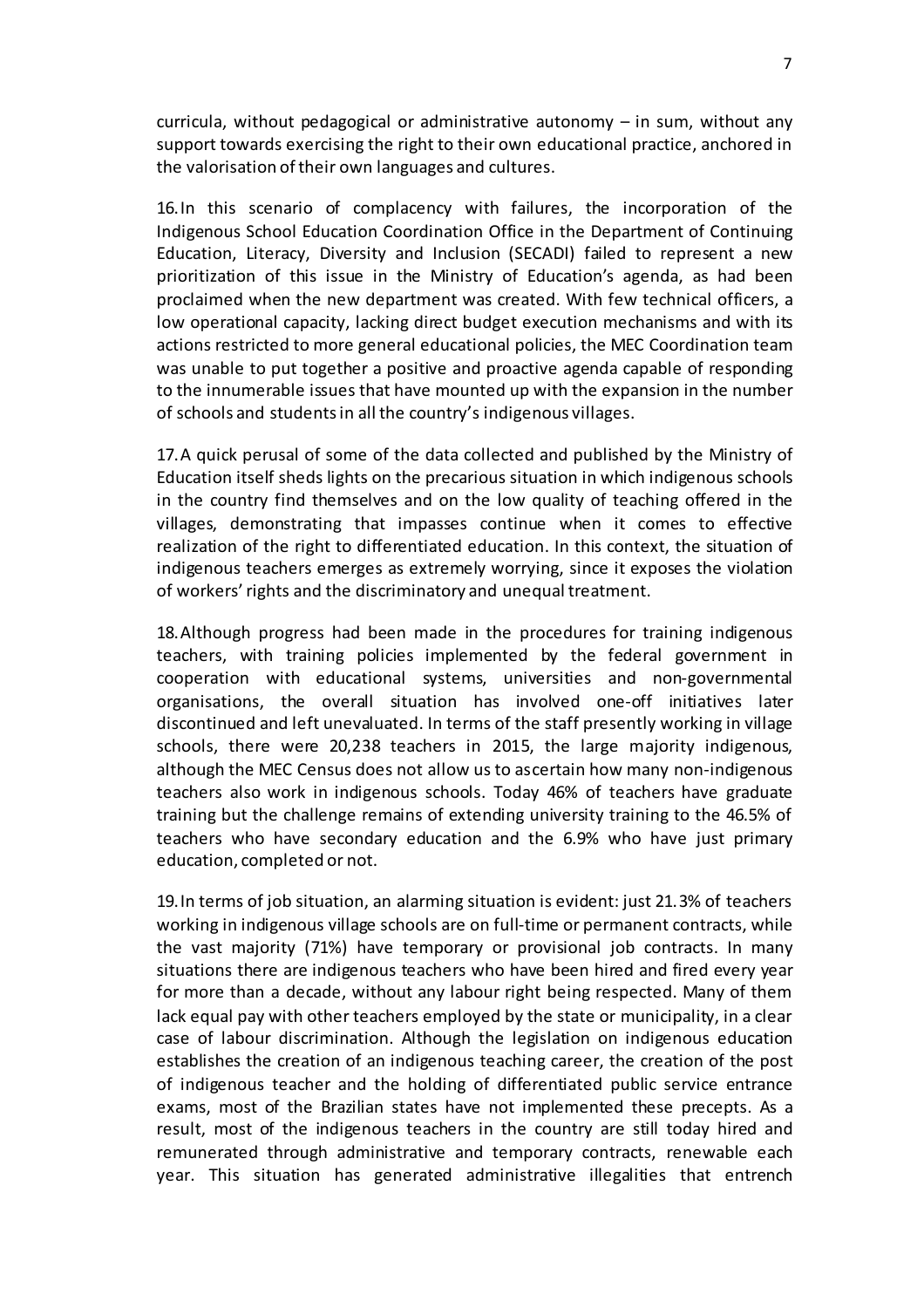curricula, without pedagogical or administrative autonomy – in sum, without any support towards exercising the right to their own educational practice, anchored in the valorisation of their own languages and cultures.

16.In this scenario of complacency with failures, the incorporation of the Indigenous School Education Coordination Office in the Department of Continuing Education, Literacy, Diversity and Inclusion (SECADI) failed to represent a new prioritization of this issue in the Ministry of Education's agenda, as had been proclaimed when the new department was created. With few technical officers, a low operational capacity, lacking direct budget execution mechanisms and with its actions restricted to more general educational policies, the MEC Coordination team was unable to put together a positive and proactive agenda capable of responding to the innumerable issues that have mounted up with the expansion in the number of schools and studentsin all the country's indigenous villages.

17.A quick perusal of some of the data collected and published by the Ministry of Education itself sheds lights on the precarious situation in which indigenous schools in the country find themselves and on the low quality of teaching offered in the villages, demonstrating that impasses continue when it comes to effective realization of the right to differentiated education. In this context, the situation of indigenous teachers emerges as extremely worrying, since it exposes the violation of workers'rights and the discriminatory and unequal treatment.

18.Although progress had been made in the procedures for training indigenous teachers, with training policies implemented by the federal government in cooperation with educational systems, universities and non-governmental organisations, the overall situation has involved one-off initiatives later discontinued and left unevaluated. In terms of the staff presently working in village schools, there were 20,238 teachers in 2015, the large majority indigenous, although the MEC Census does not allow us to ascertain how many non-indigenous teachers also work in indigenous schools. Today 46% of teachers have graduate training but the challenge remains of extending university training to the 46.5% of teachers who have secondary education and the 6.9% who have just primary education, completed or not.

19.In terms of job situation, an alarming situation is evident: just 21.3% of teachers working in indigenous village schools are on full-time or permanent contracts, while the vast majority (71%) have temporary or provisional job contracts. In many situations there are indigenous teachers who have been hired and fired every year for more than a decade, without any labour right being respected. Many of them lack equal pay with other teachers employed by the state or municipality, in a clear case of labour discrimination. Although the legislation on indigenous education establishes the creation of an indigenous teaching career, the creation of the post of indigenous teacher and the holding of differentiated public service entrance exams, most of the Brazilian states have not implemented these precepts. As a result, most of the indigenous teachers in the country are still today hired and remunerated through administrative and temporary contracts, renewable each year. This situation has generated administrative illegalities that entrench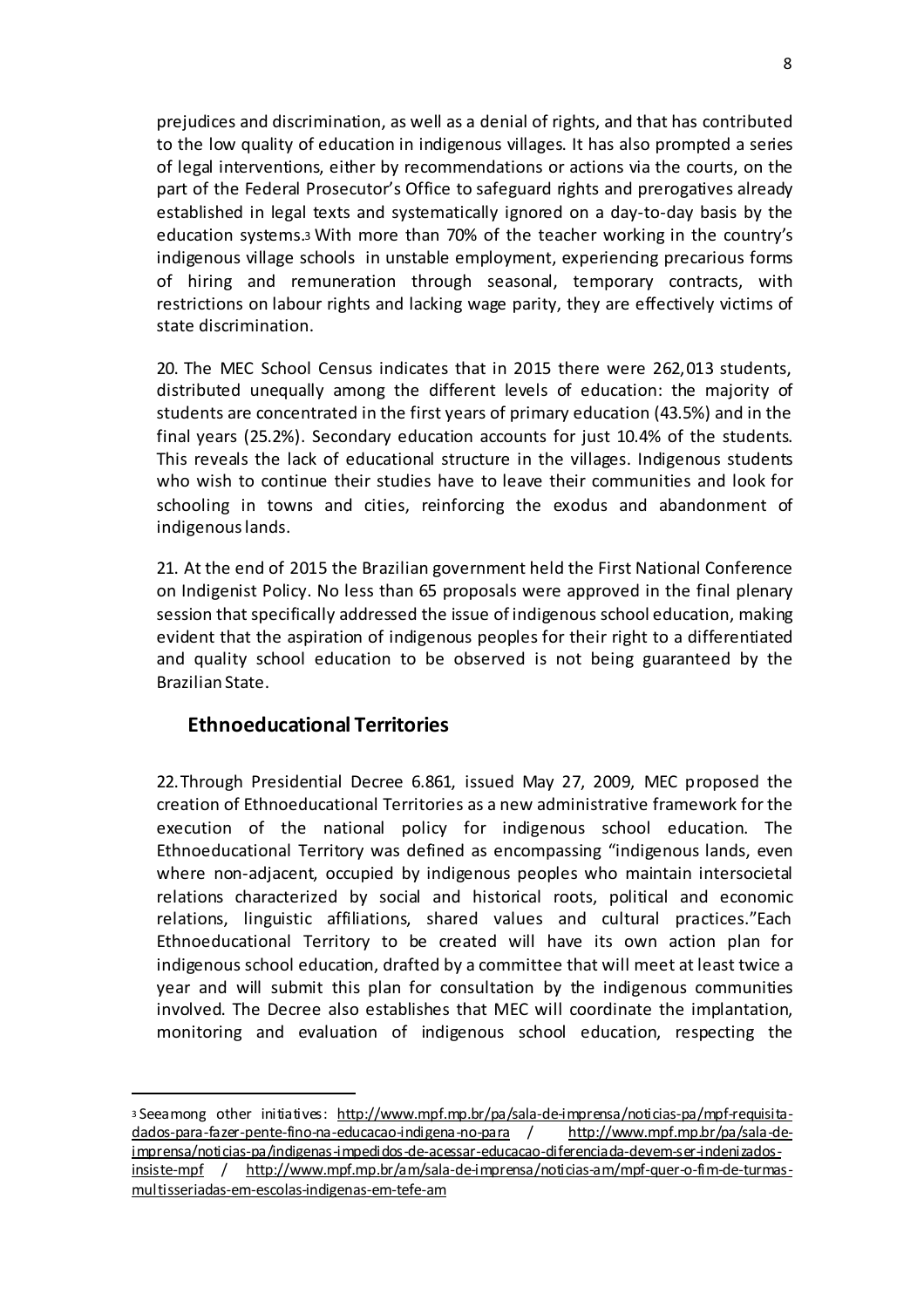prejudices and discrimination, as well as a denial of rights, and that has contributed to the low quality of education in indigenous villages. It has also prompted a series of legal interventions, either by recommendations or actions via the courts, on the part of the Federal Prosecutor's Office to safeguard rights and prerogatives already established in legal texts and systematically ignored on a day-to-day basis by the education systems.<sup>3</sup> With more than 70% of the teacher working in the country's indigenous village schools in unstable employment, experiencing precarious forms of hiring and remuneration through seasonal, temporary contracts, with restrictions on labour rights and lacking wage parity, they are effectively victims of state discrimination.

20. The MEC School Census indicates that in 2015 there were 262,013 students, distributed unequally among the different levels of education: the majority of students are concentrated in the first years of primary education (43.5%) and in the final years (25.2%). Secondary education accounts for just 10.4% of the students. This reveals the lack of educational structure in the villages. Indigenous students who wish to continue their studies have to leave their communities and look for schooling in towns and cities, reinforcing the exodus and abandonment of indigenous lands.

21. At the end of 2015 the Brazilian government held the First National Conference on Indigenist Policy. No less than 65 proposals were approved in the final plenary session that specifically addressed the issue of indigenous school education, making evident that the aspiration of indigenous peoples for their right to a differentiated and quality school education to be observed is not being guaranteed by the Brazilian State.

# **Ethnoeducational Territories**

l

22.Through Presidential Decree 6.861, issued May 27, 2009, MEC proposed the creation of Ethnoeducational Territories as a new administrative framework for the execution of the national policy for indigenous school education. The Ethnoeducational Territory was defined as encompassing "indigenous lands, even where non-adjacent, occupied by indigenous peoples who maintain intersocietal relations characterized by social and historical roots, political and economic relations, linguistic affiliations, shared values and cultural practices."Each Ethnoeducational Territory to be created will have its own action plan for indigenous school education, drafted by a committee that will meet at least twice a year and will submit this plan for consultation by the indigenous communities involved. The Decree also establishes that MEC will coordinate the implantation, monitoring and evaluation of indigenous school education, respecting the

<sup>3</sup> Seeamong other initiatives: http://www.mpf.mp.br/pa/sala-de-imprensa/noticias-pa/mpf-requisitadados-para-fazer-pente-fino-na-educacao-indigena-no-para / http://www.mpf.mp.br/pa/sala-deimprensa/noticias-pa/indigenas-impedidos-de-acessar-educacao-diferenciada-devem-ser-indenizadosinsiste-mpf / http://www.mpf.mp.br/am/sala-de-imprensa/noticias-am/mpf-quer-o-fim-de-turmasmultisseriadas-em-escolas-indigenas-em-tefe-am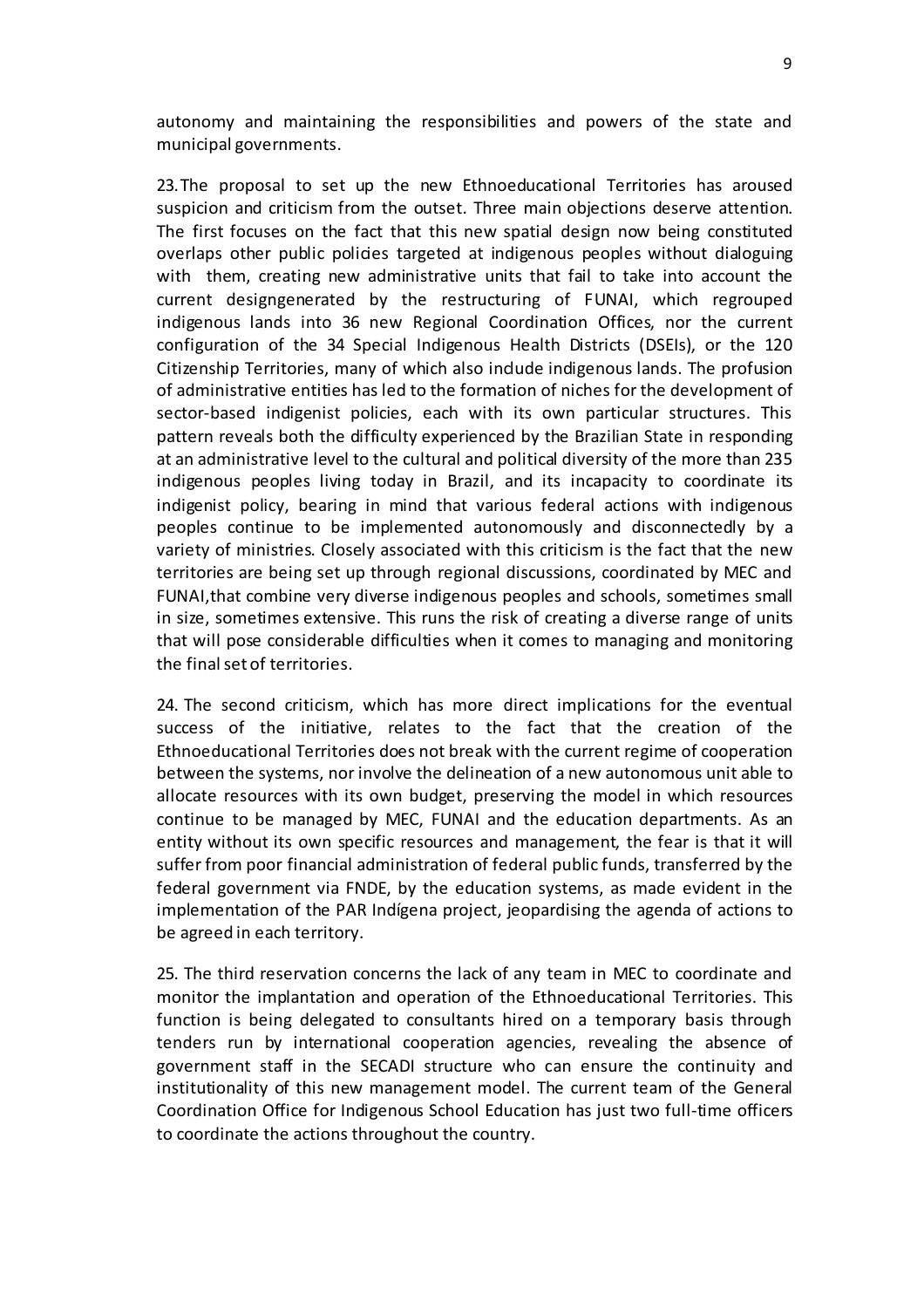autonomy and maintaining the responsibilities and powers of the state and municipal governments.

23.The proposal to set up the new Ethnoeducational Territories has aroused suspicion and criticism from the outset. Three main objections deserve attention. The first focuses on the fact that this new spatial design now being constituted overlaps other public policies targeted at indigenous peoples without dialoguing with them, creating new administrative units that fail to take into account the current designgenerated by the restructuring of FUNAI, which regrouped indigenous lands into 36 new Regional Coordination Offices, nor the current configuration of the 34 Special Indigenous Health Districts (DSEIs), or the 120 Citizenship Territories, many of which also indude indigenous lands. The profusion of administrative entities has led to the formation of niches for the development of sector-based indigenist policies, each with its own particular structures. This pattern reveals both the difficulty experienced by the Brazilian State in responding at an administrative level to the cultural and political diversity of the more than 235 indigenous peoples living today in Brazil, and its incapacity to coordinate its indigenist policy, bearing in mind that various federal actions with indigenous peoples continue to be implemented autonomously and disconnectedly by a variety of ministries. Closely associated with this criticism is the fact that the new territories are being set up through regional discussions, coordinated by MEC and FUNAI,that combine very diverse indigenous peoples and schools, sometimes small in size, sometimes extensive. This runs the risk of creating a diverse range of units that will pose considerable difficulties when it comes to managing and monitoring the final set of territories.

24. The second criticism, which has more direct implications for the eventual success of the initiative, relates to the fact that the creation of the Ethnoeducational Territories does not break with the current regime of cooperation between the systems, nor involve the delineation of a new autonomous unit able to allocate resources with its own budget, preserving the model in which resources continue to be managed by MEC, FUNAI and the education departments. As an entity without its own specific resources and management, the fear is that it will suffer from poor financial administration of federal public funds, transferred by the federal government via FNDE, by the education systems, as made evident in the implementation of the PAR Indígena project, jeopardising the agenda of actions to be agreed in each territory.

25. The third reservation concerns the lack of any team in MEC to coordinate and monitor the implantation and operation of the Ethnoeducational Territories. This function is being delegated to consultants hired on a temporary basis through tenders run by international cooperation agencies, revealing the absence of government staff in the SECADI structure who can ensure the continuity and institutionality of this new management model. The current team of the General Coordination Office for Indigenous School Education has just two full-time officers to coordinate the actions throughout the country.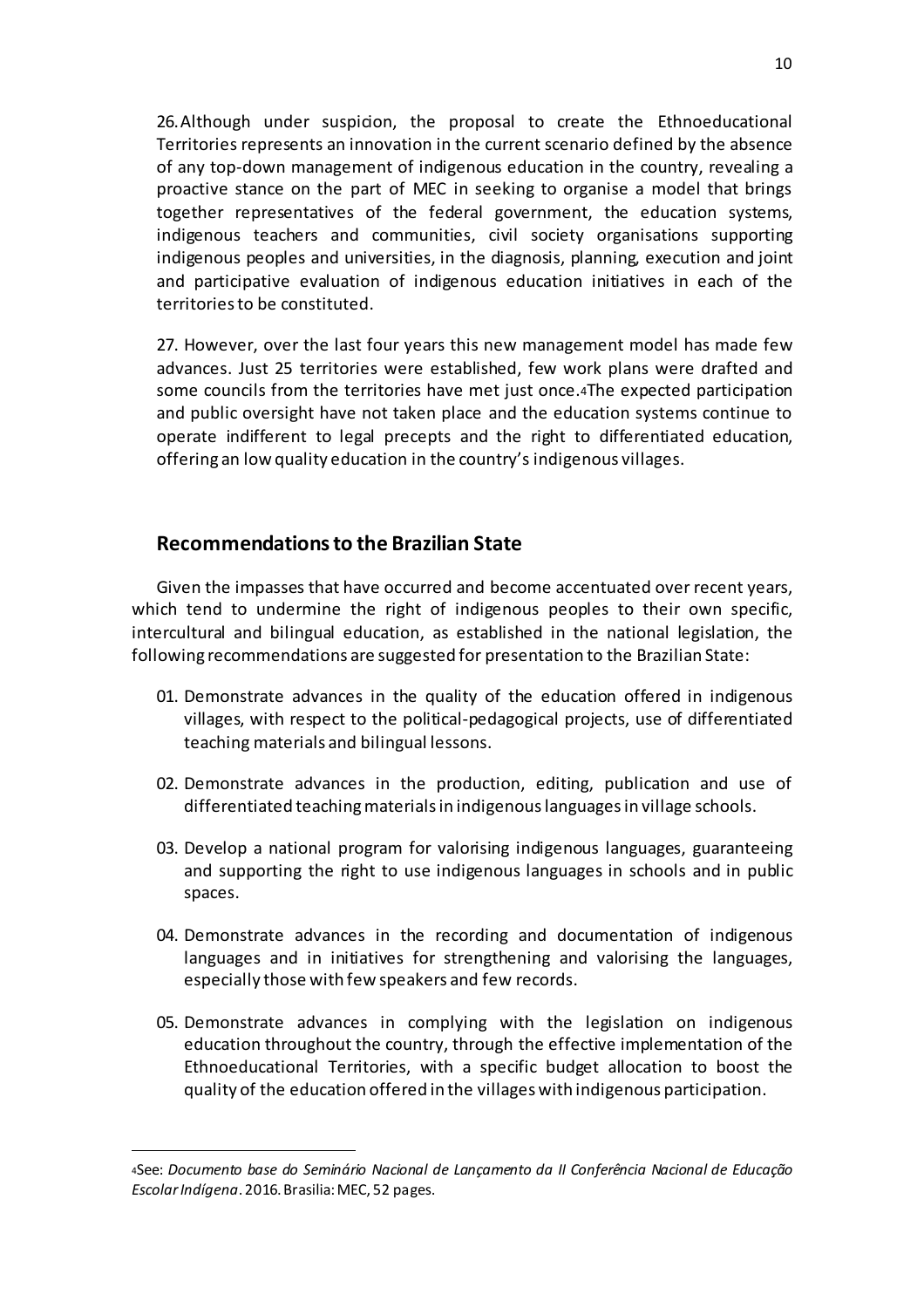26.Although under suspicion, the proposal to create the Ethnoeducational Territories represents an innovation in the current scenario defined by the absence of any top-down management of indigenous education in the country, revealing a proactive stance on the part of MEC in seeking to organise a model that brings together representatives of the federal government, the education systems, indigenous teachers and communities, civil society organisations supporting indigenous peoples and universities, in the diagnosis, planning, execution and joint and participative evaluation of indigenous education initiatives in each of the territoriesto be constituted.

27. However, over the last four years this new management model has made few advances. Just 25 territories were established, few work plans were drafted and some councils from the territories have met just once.4The expected participation and public oversight have not taken place and the education systems continue to operate indifferent to legal precepts and the right to differentiated education, offering an low quality education in the country's indigenous villages.

### **Recommendationsto the Brazilian State**

l

Given the impasses that have occurred and become accentuated over recent years, which tend to undermine the right of indigenous peoples to their own specific, intercultural and bilingual education, as established in the national legislation, the following recommendations are suggested for presentation to the Brazilian State:

- 01. Demonstrate advances in the quality of the education offered in indigenous villages, with respect to the political-pedagogical projects, use of differentiated teaching materials and bilingual lessons.
- 02. Demonstrate advances in the production, editing, publication and use of differentiated teachingmaterialsin indigenouslanguagesin village schools.
- 03. Develop a national program for valorising indigenous languages, guaranteeing and supporting the right to use indigenous languages in schools and in public spaces.
- 04. Demonstrate advances in the recording and documentation of indigenous languages and in initiatives for strengthening and valorising the languages, especially those with few speakers and few records.
- 05. Demonstrate advances in complying with the legislation on indigenous education throughout the country, through the effective implementation of the Ethnoeducational Territories, with a specific budget allocation to boost the quality of the education offered in the villages with indigenous participation.

<sup>4</sup>See: *Documento base do Seminário Nacional de Lançamento da II Conferência Nacional de Educação EscolarIndígena*. 2016.Brasilia:MEC, 52 pages.